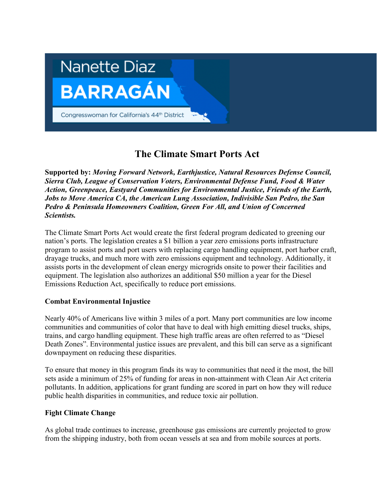

## **The Climate Smart Ports Act**

**Supported by:** *Moving Forward Network, Earthjustice, Natural Resources Defense Council, Sierra Club, League of Conservation Voters, Environmental Defense Fund, Food & Water Action, Greenpeace, Eastyard Communities for Environmental Justice, Friends of the Earth, Jobs to Move America CA, the American Lung Association, Indivisible San Pedro, the San Pedro & Peninsula Homeowners Coalition, Green For All, and Union of Concerned Scientists.* 

The Climate Smart Ports Act would create the first federal program dedicated to greening our nation's ports. The legislation creates a \$1 billion a year zero emissions ports infrastructure program to assist ports and port users with replacing cargo handling equipment, port harbor craft, drayage trucks, and much more with zero emissions equipment and technology. Additionally, it assists ports in the development of clean energy microgrids onsite to power their facilities and equipment. The legislation also authorizes an additional \$50 million a year for the Diesel Emissions Reduction Act, specifically to reduce port emissions.

## **Combat Environmental Injustice**

Nearly 40% of Americans live within 3 miles of a port. Many port communities are low income communities and communities of color that have to deal with high emitting diesel trucks, ships, trains, and cargo handling equipment. These high traffic areas are often referred to as "Diesel Death Zones". Environmental justice issues are prevalent, and this bill can serve as a significant downpayment on reducing these disparities.

To ensure that money in this program finds its way to communities that need it the most, the bill sets aside a minimum of 25% of funding for areas in non-attainment with Clean Air Act criteria pollutants. In addition, applications for grant funding are scored in part on how they will reduce public health disparities in communities, and reduce toxic air pollution.

## **Fight Climate Change**

As global trade continues to increase, greenhouse gas emissions are currently projected to grow from the shipping industry, both from ocean vessels at sea and from mobile sources at ports.